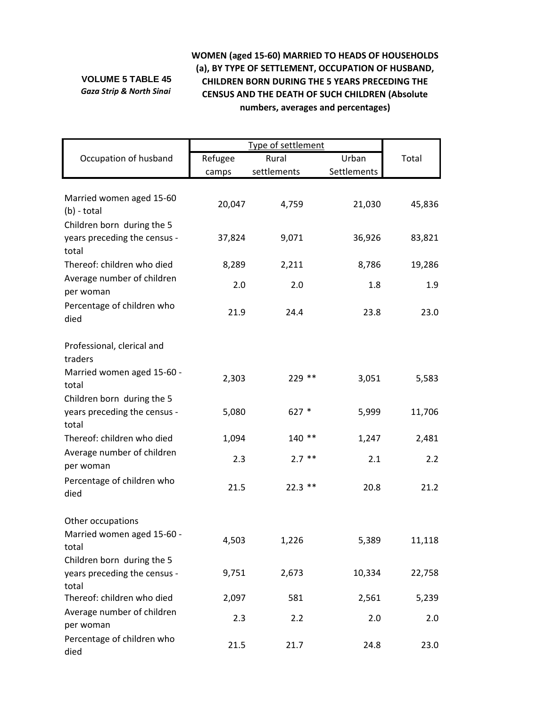## **VOLUME 5 TABLE 45** *Gaza Strip & North Sinai*

## **WOMEN (aged 15‐60) MARRIED TO HEADS OF HOUSEHOLDS (a), BY TYPE OF SETTLEMENT, OCCUPATION OF HUSBAND, CHILDREN BORN DURING THE 5 YEARS PRECEDING THE CENSUS AND THE DEATH OF SUCH CHILDREN (Absolute numbers, averages and percentages)**

|                                                                     | Type of settlement |             |             |        |
|---------------------------------------------------------------------|--------------------|-------------|-------------|--------|
| Occupation of husband                                               | Refugee            | Rural       | Urban       | Total  |
|                                                                     | camps              | settlements | Settlements |        |
| Married women aged 15-60<br>$(b)$ - total                           | 20,047             | 4,759       | 21,030      | 45,836 |
| Children born during the 5<br>years preceding the census -<br>total | 37,824             | 9,071       | 36,926      | 83,821 |
| Thereof: children who died                                          | 8,289              | 2,211       | 8,786       | 19,286 |
| Average number of children<br>per woman                             | 2.0                | 2.0         | 1.8         | 1.9    |
| Percentage of children who<br>died                                  | 21.9               | 24.4        | 23.8        | 23.0   |
| Professional, clerical and<br>traders                               |                    |             |             |        |
| Married women aged 15-60 -<br>total                                 | 2,303              | 229 **      | 3,051       | 5,583  |
| Children born during the 5<br>years preceding the census -<br>total | 5,080              | $627 *$     | 5,999       | 11,706 |
| Thereof: children who died                                          | 1,094              | $140**$     | 1,247       | 2,481  |
| Average number of children<br>per woman                             | 2.3                | $2.7$ **    | 2.1         | 2.2    |
| Percentage of children who<br>died                                  | 21.5               | $22.3$ **   | 20.8        | 21.2   |
| Other occupations                                                   |                    |             |             |        |
| Married women aged 15-60 -<br>total                                 | 4,503              | 1,226       | 5,389       | 11,118 |
| Children born during the 5<br>years preceding the census -          | 9,751              | 2,673       | 10,334      | 22,758 |
| total<br>Thereof: children who died                                 | 2,097              | 581         | 2,561       | 5,239  |
| Average number of children<br>per woman                             | 2.3                | 2.2         | 2.0         | 2.0    |
| Percentage of children who<br>died                                  | 21.5               | 21.7        | 24.8        | 23.0   |